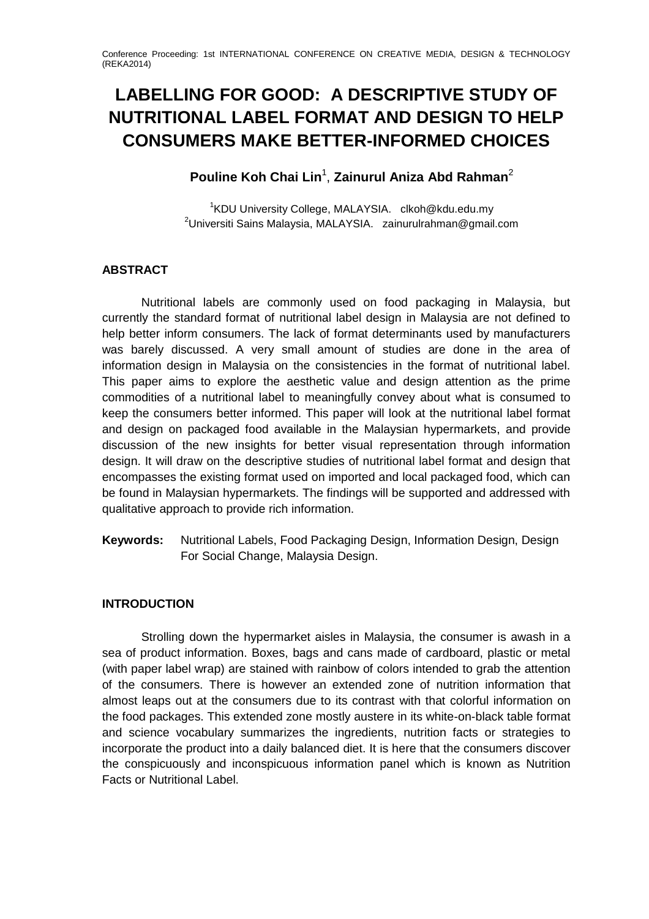# **LABELLING FOR GOOD: A DESCRIPTIVE STUDY OF NUTRITIONAL LABEL FORMAT AND DESIGN TO HELP CONSUMERS MAKE BETTER-INFORMED CHOICES**

# **Pouline Koh Chai Lin**<sup>1</sup> , **Zainurul Aniza Abd Rahman**<sup>2</sup>

<sup>1</sup>KDU University College, MALAYSIA. [clkoh@kdu.edu.my](mailto:clkoh@kdu.edu.my) <sup>2</sup>Universiti Sains Malaysia, MALAYSIA. zainurulrahman@gmail.com

## **ABSTRACT**

Nutritional labels are commonly used on food packaging in Malaysia, but currently the standard format of nutritional label design in Malaysia are not defined to help better inform consumers. The lack of format determinants used by manufacturers was barely discussed. A very small amount of studies are done in the area of information design in Malaysia on the consistencies in the format of nutritional label. This paper aims to explore the aesthetic value and design attention as the prime commodities of a nutritional label to meaningfully convey about what is consumed to keep the consumers better informed. This paper will look at the nutritional label format and design on packaged food available in the Malaysian hypermarkets, and provide discussion of the new insights for better visual representation through information design. It will draw on the descriptive studies of nutritional label format and design that encompasses the existing format used on imported and local packaged food, which can be found in Malaysian hypermarkets. The findings will be supported and addressed with qualitative approach to provide rich information.

**Keywords:** Nutritional Labels, Food Packaging Design, Information Design, Design For Social Change, Malaysia Design.

## **INTRODUCTION**

Strolling down the hypermarket aisles in Malaysia, the consumer is awash in a sea of product information. Boxes, bags and cans made of cardboard, plastic or metal (with paper label wrap) are stained with rainbow of colors intended to grab the attention of the consumers. There is however an extended zone of nutrition information that almost leaps out at the consumers due to its contrast with that colorful information on the food packages. This extended zone mostly austere in its white-on-black table format and science vocabulary summarizes the ingredients, nutrition facts or strategies to incorporate the product into a daily balanced diet. It is here that the consumers discover the conspicuously and inconspicuous information panel which is known as Nutrition Facts or Nutritional Label.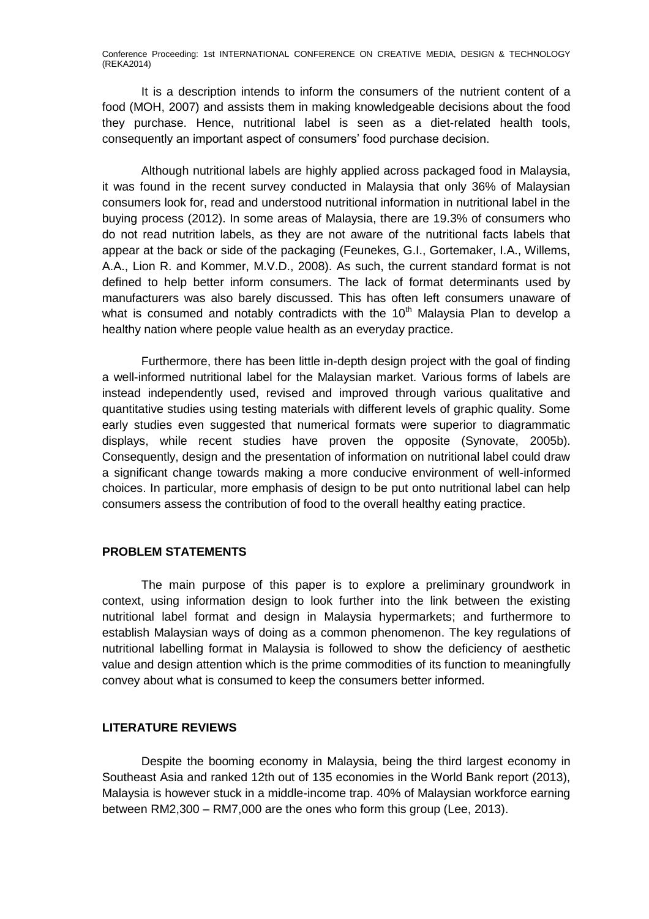It is a description intends to inform the consumers of the nutrient content of a food (MOH, 2007) and assists them in making knowledgeable decisions about the food they purchase. Hence, nutritional label is seen as a diet-related health tools, consequently an important aspect of consumers' food purchase decision.

Although nutritional labels are highly applied across packaged food in Malaysia, it was found in the recent survey conducted in Malaysia that only 36% of Malaysian consumers look for, read and understood nutritional information in nutritional label in the buying process (2012). In some areas of Malaysia, there are 19.3% of consumers who do not read nutrition labels, as they are not aware of the nutritional facts labels that appear at the back or side of the packaging (Feunekes, G.I., Gortemaker, I.A., Willems, A.A., Lion R. and Kommer, M.V.D., 2008). As such, the current standard format is not defined to help better inform consumers. The lack of format determinants used by manufacturers was also barely discussed. This has often left consumers unaware of what is consumed and notably contradicts with the  $10<sup>th</sup>$  Malaysia Plan to develop a healthy nation where people value health as an everyday practice.

Furthermore, there has been little in-depth design project with the goal of finding a well-informed nutritional label for the Malaysian market. Various forms of labels are instead independently used, revised and improved through various qualitative and quantitative studies using testing materials with different levels of graphic quality. Some early studies even suggested that numerical formats were superior to diagrammatic displays, while recent studies have proven the opposite (Synovate, 2005b). Consequently, design and the presentation of information on nutritional label could draw a significant change towards making a more conducive environment of well-informed choices. In particular, more emphasis of design to be put onto nutritional label can help consumers assess the contribution of food to the overall healthy eating practice.

#### **PROBLEM STATEMENTS**

The main purpose of this paper is to explore a preliminary groundwork in context, using information design to look further into the link between the existing nutritional label format and design in Malaysia hypermarkets; and furthermore to establish Malaysian ways of doing as a common phenomenon. The key regulations of nutritional labelling format in Malaysia is followed to show the deficiency of aesthetic value and design attention which is the prime commodities of its function to meaningfully convey about what is consumed to keep the consumers better informed.

#### **LITERATURE REVIEWS**

Despite the booming economy in Malaysia, being the third largest economy in Southeast Asia and ranked 12th out of 135 economies in the World Bank report (2013), Malaysia is however stuck in a middle-income trap. 40% of Malaysian workforce earning between RM2,300 – RM7,000 are the ones who form this group (Lee, 2013).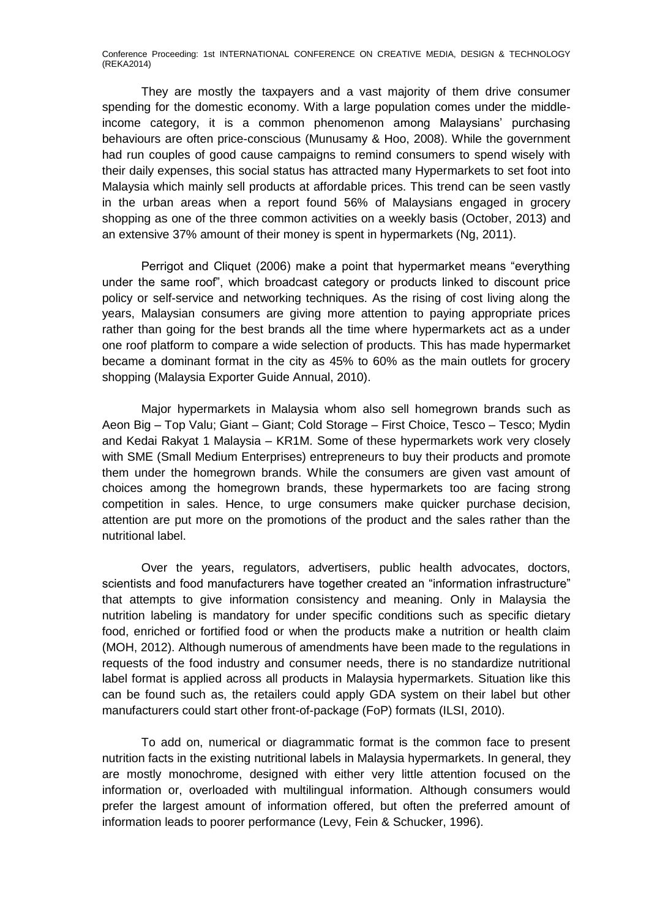They are mostly the taxpayers and a vast majority of them drive consumer spending for the domestic economy. With a large population comes under the middleincome category, it is a common phenomenon among Malaysians' purchasing behaviours are often price-conscious (Munusamy & Hoo, 2008). While the government had run couples of good cause campaigns to remind consumers to spend wisely with their daily expenses, this social status has attracted many Hypermarkets to set foot into Malaysia which mainly sell products at affordable prices. This trend can be seen vastly in the urban areas when a report found 56% of Malaysians engaged in grocery shopping as one of the three common activities on a weekly basis (October, 2013) and an extensive 37% amount of their money is spent in hypermarkets (Ng, 2011).

Perrigot and Cliquet (2006) make a point that hypermarket means "everything under the same roof", which broadcast category or products linked to discount price policy or self-service and networking techniques. As the rising of cost living along the years, Malaysian consumers are giving more attention to paying appropriate prices rather than going for the best brands all the time where hypermarkets act as a under one roof platform to compare a wide selection of products. This has made hypermarket became a dominant format in the city as 45% to 60% as the main outlets for grocery shopping (Malaysia Exporter Guide Annual, 2010).

Major hypermarkets in Malaysia whom also sell homegrown brands such as Aeon Big – Top Valu; Giant – Giant; Cold Storage – First Choice, Tesco – Tesco; Mydin and Kedai Rakyat 1 Malaysia – KR1M. Some of these hypermarkets work very closely with SME (Small Medium Enterprises) entrepreneurs to buy their products and promote them under the homegrown brands. While the consumers are given vast amount of choices among the homegrown brands, these hypermarkets too are facing strong competition in sales. Hence, to urge consumers make quicker purchase decision, attention are put more on the promotions of the product and the sales rather than the nutritional label.

Over the years, regulators, advertisers, public health advocates, doctors, scientists and food manufacturers have together created an "information infrastructure" that attempts to give information consistency and meaning. Only in Malaysia the nutrition labeling is mandatory for under specific conditions such as specific dietary food, enriched or fortified food or when the products make a nutrition or health claim (MOH, 2012). Although numerous of amendments have been made to the regulations in requests of the food industry and consumer needs, there is no standardize nutritional label format is applied across all products in Malaysia hypermarkets. Situation like this can be found such as, the retailers could apply GDA system on their label but other manufacturers could start other front-of-package (FoP) formats (ILSI, 2010).

To add on, numerical or diagrammatic format is the common face to present nutrition facts in the existing nutritional labels in Malaysia hypermarkets. In general, they are mostly monochrome, designed with either very little attention focused on the information or, overloaded with multilingual information. Although consumers would prefer the largest amount of information offered, but often the preferred amount of information leads to poorer performance (Levy, Fein & Schucker, 1996).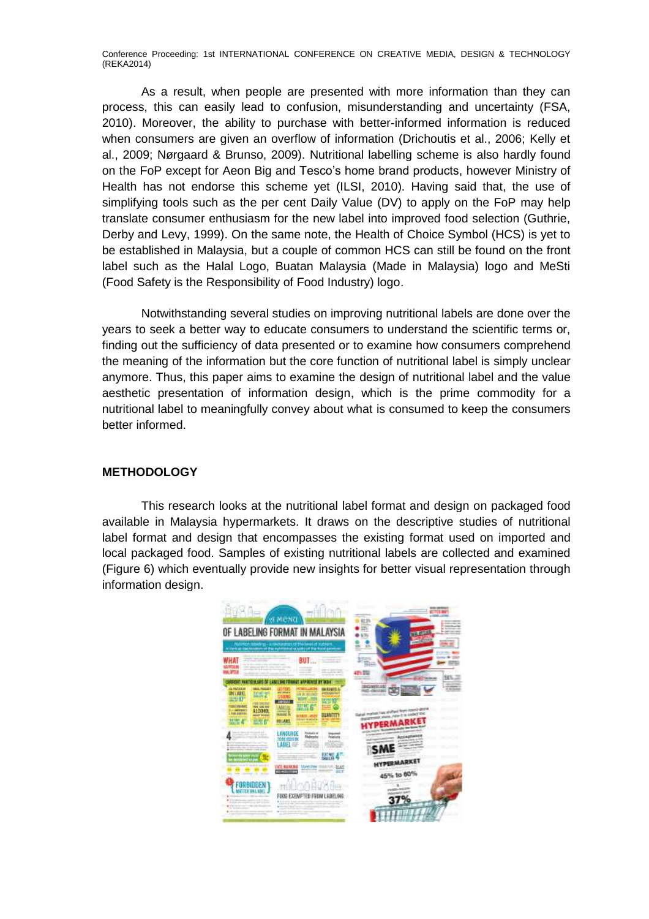As a result, when people are presented with more information than they can process, this can easily lead to confusion, misunderstanding and uncertainty (FSA, 2010). Moreover, the ability to purchase with better-informed information is reduced when consumers are given an overflow of information (Drichoutis et al., 2006; Kelly et al., 2009; Nørgaard & Brunso, 2009). Nutritional labelling scheme is also hardly found on the FoP except for Aeon Big and Tesco's home brand products, however Ministry of Health has not endorse this scheme yet (ILSI, 2010). Having said that, the use of simplifying tools such as the per cent Daily Value (DV) to apply on the FoP may help translate consumer enthusiasm for the new label into improved food selection (Guthrie, Derby and Levy, 1999). On the same note, the Health of Choice Symbol (HCS) is yet to be established in Malaysia, but a couple of common HCS can still be found on the front label such as the Halal Logo, Buatan Malaysia (Made in Malaysia) logo and MeSti (Food Safety is the Responsibility of Food Industry) logo.

Notwithstanding several studies on improving nutritional labels are done over the years to seek a better way to educate consumers to understand the scientific terms or, finding out the sufficiency of data presented or to examine how consumers comprehend the meaning of the information but the core function of nutritional label is simply unclear anymore. Thus, this paper aims to examine the design of nutritional label and the value aesthetic presentation of information design, which is the prime commodity for a nutritional label to meaningfully convey about what is consumed to keep the consumers better informed.

#### **METHODOLOGY**

This research looks at the nutritional label format and design on packaged food available in Malaysia hypermarkets. It draws on the descriptive studies of nutritional label format and design that encompasses the existing format used on imported and local packaged food. Samples of existing nutritional labels are collected and examined (Figure 6) which eventually provide new insights for better visual representation through information design.

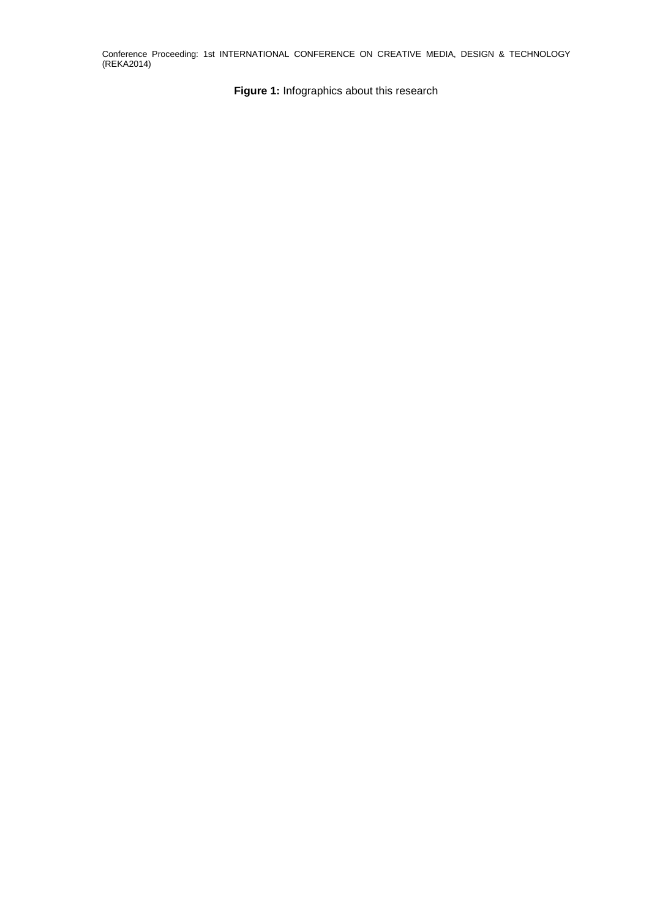**Figure 1:** Infographics about this research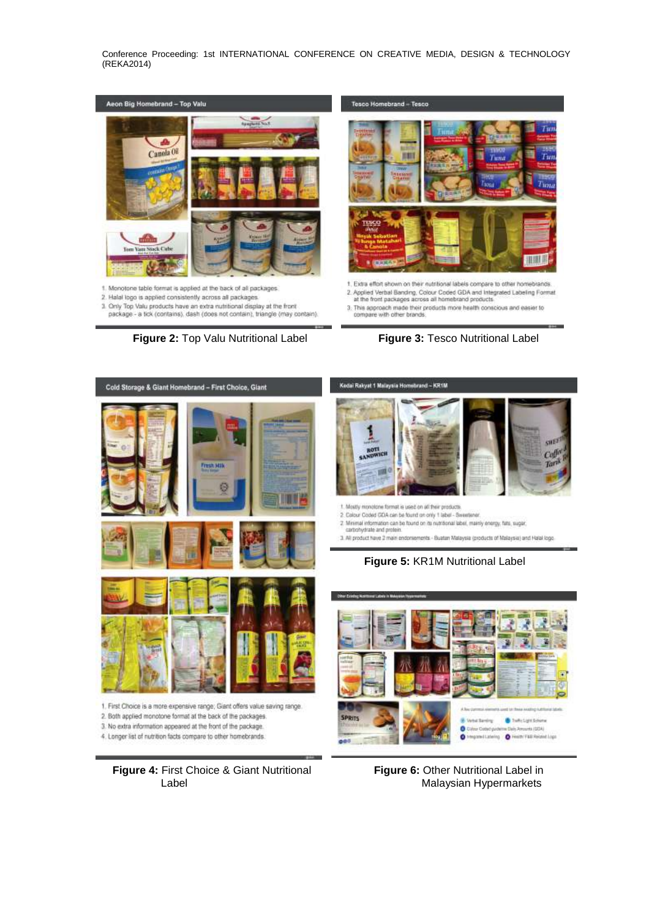



- 1. Monotone table format is applied at the back of all packages
- 2. Halal logo is applied consistently across all packages
- 3. Only Top Valu products have an extra nutritional display at the front package - a tick (contains), dash (does not contain), triangle (may contain).



- 1. Extra effort shown on their nutritional labels compare to other homebrands 2. Applied Verbal Banding, Colour Coded GDA and Integrated Labeling Format at the front packages across all homebrand products
- $3$ . This approach made their products more health conscious and easier to compare with other brands.

**Figure 2:** Top Valu Nutritional Label **Figure 3:** Tesco Nutritional Label



 $000$ 

**Figure 6: Other Nutritional Label in** Malaysian Hypermarkets

4. Longer list of nutrition facts compare to other homebrands.

**Figure 4:** First Choice & Giant Nutritional Label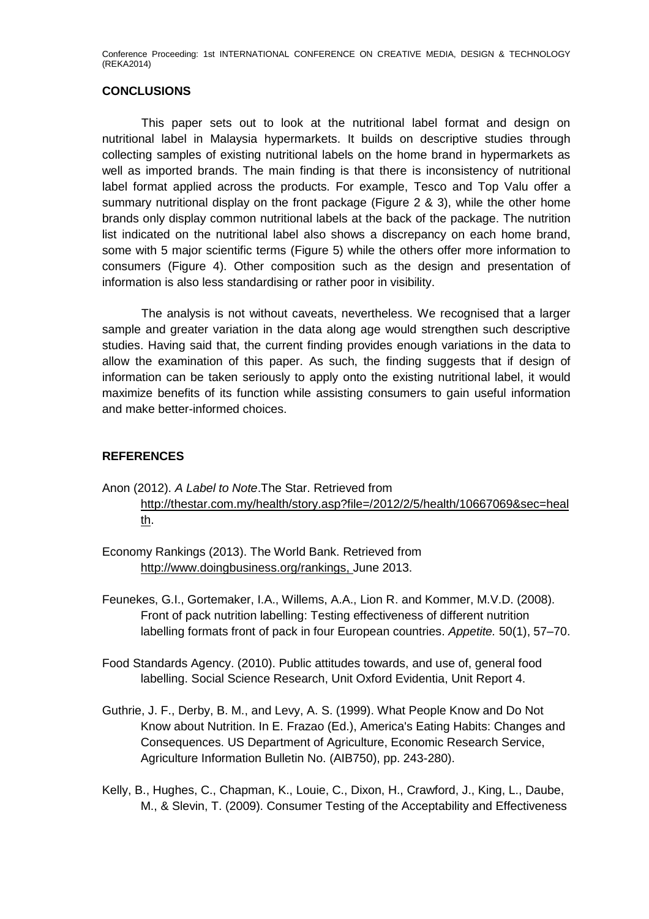#### **CONCLUSIONS**

This paper sets out to look at the nutritional label format and design on nutritional label in Malaysia hypermarkets. It builds on descriptive studies through collecting samples of existing nutritional labels on the home brand in hypermarkets as well as imported brands. The main finding is that there is inconsistency of nutritional label format applied across the products. For example, Tesco and Top Valu offer a summary nutritional display on the front package (Figure 2 & 3), while the other home brands only display common nutritional labels at the back of the package. The nutrition list indicated on the nutritional label also shows a discrepancy on each home brand, some with 5 major scientific terms (Figure 5) while the others offer more information to consumers (Figure 4). Other composition such as the design and presentation of information is also less standardising or rather poor in visibility.

The analysis is not without caveats, nevertheless. We recognised that a larger sample and greater variation in the data along age would strengthen such descriptive studies. Having said that, the current finding provides enough variations in the data to allow the examination of this paper. As such, the finding suggests that if design of information can be taken seriously to apply onto the existing nutritional label, it would maximize benefits of its function while assisting consumers to gain useful information and make better-informed choices.

## **REFERENCES**

- Anon (2012). *A Label to Note*.The Star. Retrieved from [http://thestar.com.my/health/story.asp?file=/2012/2/5/health/10667069&sec=heal](http://thestar.com.my/health/story.asp?file=/2012/2/5/health/10667069&sec=health) [th.](http://thestar.com.my/health/story.asp?file=/2012/2/5/health/10667069&sec=health)
- Economy Rankings (2013). The World Bank. Retrieved from [http://www.doingbusiness.org/rankings,](http://www.doingbusiness.org/rankings) June 2013.
- Feunekes, G.I., Gortemaker, I.A., Willems, A.A., Lion R. and Kommer, M.V.D. (2008). Front of pack nutrition labelling: Testing effectiveness of different nutrition labelling formats front of pack in four European countries. *Appetite.* 50(1), 57–70.
- Food Standards Agency. (2010). Public attitudes towards, and use of, general food labelling. Social Science Research, Unit Oxford Evidentia, Unit Report 4.
- Guthrie, J. F., Derby, B. M., and Levy, A. S. (1999). What People Know and Do Not Know about Nutrition. In E. Frazao (Ed.), America's Eating Habits: Changes and Consequences. US Department of Agriculture, Economic Research Service, Agriculture Information Bulletin No. (AIB750), pp. 243-280).
- Kelly, B., Hughes, C., Chapman, K., Louie, C., Dixon, H., Crawford, J., King, L., Daube, M., & Slevin, T. (2009). Consumer Testing of the Acceptability and Effectiveness